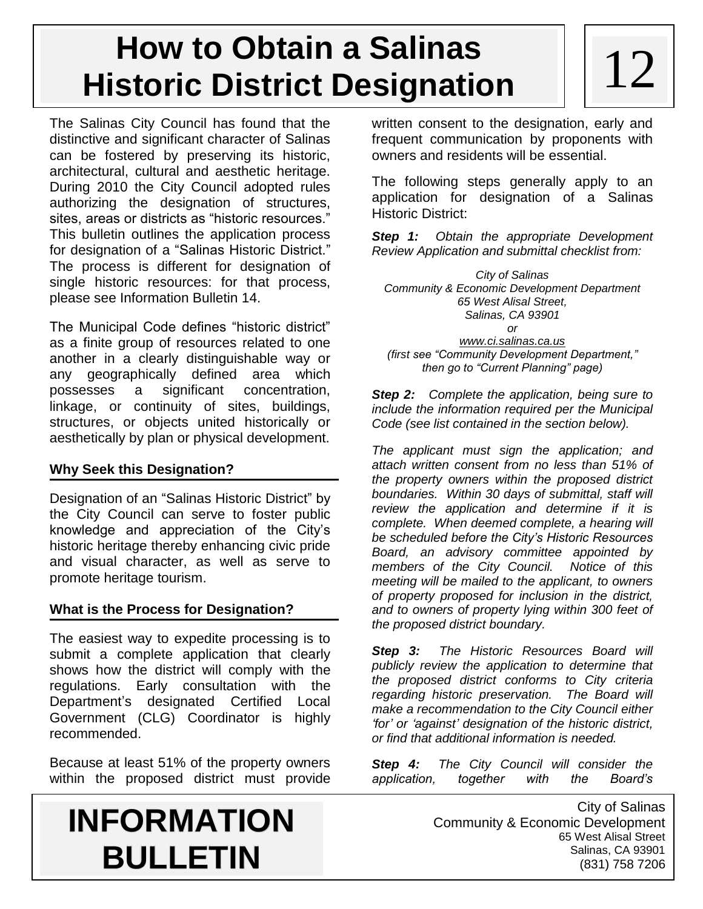# **How to Obtain a Salinas**<br>
otexie Dietriet Designation<br>  $\begin{bmatrix} 1 & 1 & 2 \end{bmatrix}$ **Historic District Designation**

The Salinas City Council has found that the distinctive and significant character of Salinas can be fostered by preserving its historic, architectural, cultural and aesthetic heritage. During 2010 the City Council adopted rules authorizing the designation of structures, sites, areas or districts as "historic resources." This bulletin outlines the application process for designation of a "Salinas Historic District." The process is different for designation of single historic resources: for that process, please see Information Bulletin 14.

The Municipal Code defines "historic district" as a finite group of resources related to one another in a clearly distinguishable way or any geographically defined area which possesses a significant concentration, linkage, or continuity of sites, buildings, structures, or objects united historically or aesthetically by plan or physical development.

## **Why Seek this Designation?**

Designation of an "Salinas Historic District" by the City Council can serve to foster public knowledge and appreciation of the City's historic heritage thereby enhancing civic pride and visual character, as well as serve to promote heritage tourism.

## **What is the Process for Designation?**

The easiest way to expedite processing is to submit a complete application that clearly shows how the district will comply with the regulations. Early consultation with the Department's designated Certified Local Government (CLG) Coordinator is highly recommended.

Because at least 51% of the property owners within the proposed district must provide written consent to the designation, early and frequent communication by proponents with owners and residents will be essential.

The following steps generally apply to an application for designation of a Salinas Historic District:

*Step 1: Obtain the appropriate Development Review Application and submittal checklist from:*

*City of Salinas Community & Economic Development Department 65 West Alisal Street, Salinas, CA 93901 or [www.ci.salinas.ca.us](http://www.ci.salinas.ca.us/) (first see "Community Development Department," then go to "Current Planning" page)*

*Step 2: Complete the application, being sure to include the information required per the Municipal Code (see list contained in the section below).*

*The applicant must sign the application; and attach written consent from no less than 51% of the property owners within the proposed district boundaries. Within 30 days of submittal, staff will review the application and determine if it is complete. When deemed complete, a hearing will be scheduled before the City's Historic Resources Board, an advisory committee appointed by members of the City Council. Notice of this meeting will be mailed to the applicant, to owners of property proposed for inclusion in the district, and to owners of property lying within 300 feet of the proposed district boundary.*

*Step 3: The Historic Resources Board will publicly review the application to determine that the proposed district conforms to City criteria regarding historic preservation. The Board will make a recommendation to the City Council either 'for' or 'against' designation of the historic district, or find that additional information is needed.*

*Step 4: The City Council will consider the application, together with the Board's*

## **INFORMATION BULLETIN**

City of Salinas Community & Economic Development 65 West Alisal Street Salinas, CA 93901 (831) 758 7206